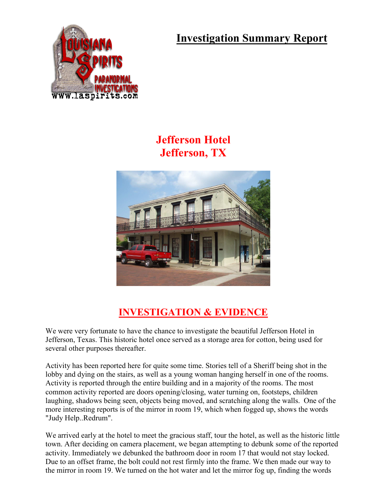**Investigation Summary Report**



## **Jefferson Hotel Jefferson, TX**



## **INVESTIGATION & EVIDENCE**

We were very fortunate to have the chance to investigate the beautiful Jefferson Hotel in Jefferson, Texas. This historic hotel once served as a storage area for cotton, being used for several other purposes thereafter.

Activity has been reported here for quite some time. Stories tell of a Sheriff being shot in the lobby and dying on the stairs, as well as a young woman hanging herself in one of the rooms. Activity is reported through the entire building and in a majority of the rooms. The most common activity reported are doors opening/closing, water turning on, footsteps, children laughing, shadows being seen, objects being moved, and scratching along the walls. One of the more interesting reports is of the mirror in room 19, which when fogged up, shows the words "Judy Help..Redrum".

We arrived early at the hotel to meet the gracious staff, tour the hotel, as well as the historic little town. After deciding on camera placement, we began attempting to debunk some of the reported activity. Immediately we debunked the bathroom door in room 17 that would not stay locked. Due to an offset frame, the bolt could not rest firmly into the frame. We then made our way to the mirror in room 19. We turned on the hot water and let the mirror fog up, finding the words